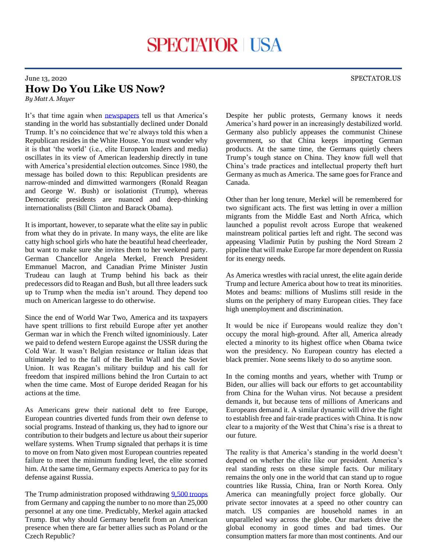## June 13, 2020 SPECTATOR.US **How Do You Like US Now?**

*By Matt A. Mayer*

It's that time again when [newspapers](https://www.washingtonpost.com/opinions/2020/06/02/trump-has-turned-america-into-pitiful-pariah/) tell us that America's standing in the world has substantially declined under Donald Trump. It's no coincidence that we're always told this when a Republican resides in the White House. You must wonder why it is that 'the world' (i.e., elite European leaders and media) oscillates in its view of American leadership directly in tune with America's presidential election outcomes. Since 1980, the message has boiled down to this: Republican presidents are narrow-minded and dimwitted warmongers (Ronald Reagan and George W. Bush) or isolationist (Trump), whereas Democratic presidents are nuanced and deep-thinking internationalists (Bill Clinton and Barack Obama).

It is important, however, to separate what the elite say in public from what they do in private. In many ways, the elite are like catty high school girls who hate the beautiful head cheerleader, but want to make sure she invites them to her weekend party. German Chancellor Angela Merkel, French President Emmanuel Macron, and Canadian Prime Minister Justin Trudeau can laugh at Trump behind his back as their predecessors did to Reagan and Bush, but all three leaders suck up to Trump when the media isn't around. They depend too much on American largesse to do otherwise.

Since the end of World War Two, America and its taxpayers have spent trillions to first rebuild Europe after yet another German war in which the French wilted ignominiously. Later we paid to defend western Europe against the USSR during the Cold War. It wasn't Belgian resistance or Italian ideas that ultimately led to the fall of the Berlin Wall and the Soviet Union. It was Reagan's military buildup and his call for freedom that inspired millions behind the Iron Curtain to act when the time came. Most of Europe derided Reagan for his actions at the time.

As Americans grew their national debt to free Europe, European countries diverted funds from their own defense to social programs. Instead of thanking us, they had to ignore our contribution to their budgets and lecture us about their superior welfare systems. When Trump signaled that perhaps it is time to move on from Nato given most European countries repeated failure to meet the minimum funding level, the elite scorned him. At the same time, Germany expects America to pay for its defense against Russia.

The Trump administration proposed withdrawin[g 9,500 troops](https://spectator.us/trump-german-troop-withdrawal-hurt-america/) from Germany and capping the number to no more than 25,000 personnel at any one time. Predictably, Merkel again attacked Trump. But why should Germany benefit from an American presence when there are far better allies such as Poland or the Czech Republic?

Despite her public protests, Germany knows it needs America's hard power in an increasingly destabilized world. Germany also publicly appeases the communist Chinese government, so that China keeps importing German products. At the same time, the Germans quietly cheers Trump's tough stance on China. They know full well that China's trade practices and intellectual property theft hurt Germany as much as America. The same goes for France and Canada.

Other than her long tenure, Merkel will be remembered for two significant acts. The first was letting in over a million migrants from the Middle East and North Africa, which launched a populist revolt across Europe that weakened mainstream political parties left and right. The second was appeasing Vladimir Putin by pushing the Nord Stream 2 pipeline that will make Europe far more dependent on Russia for its energy needs.

As America wrestles with racial unrest, the elite again deride Trump and lecture America about how to treat its minorities. Motes and beams: millions of Muslims still reside in the slums on the periphery of many European cities. They face high unemployment and discrimination.

It would be nice if Europeans would realize they don't occupy the moral high-ground. After all, America already elected a minority to its highest office when Obama twice won the presidency. No European country has elected a black premier. None seems likely to do so anytime soon.

In the coming months and years, whether with Trump or Biden, our allies will back our efforts to get accountability from China for the Wuhan virus. Not because a president demands it, but because tens of millions of Americans and Europeans demand it. A similar dynamic will drive the fight to establish free and fair-trade practices with China. It is now clear to a majority of the West that China's rise is a threat to our future.

The reality is that America's standing in the world doesn't depend on whether the elite like our president. America's real standing rests on these simple facts. Our military remains the only one in the world that can stand up to rogue countries like Russia, China, Iran or North Korea. Only America can meaningfully project force globally. Our private sector innovates at a speed no other country can match. US companies are household names in an unparalleled way across the globe. Our markets drive the global economy in good times and bad times. Our consumption matters far more than most continents. And our